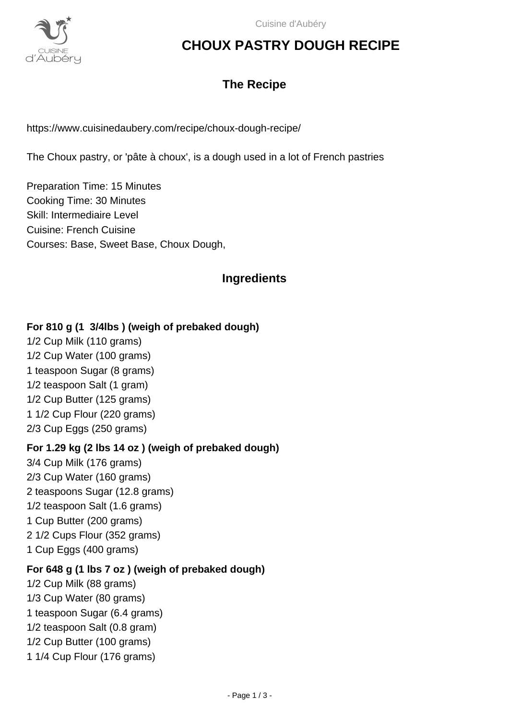

# **CHOUX PASTRY DOUGH RECIPE**

# **The Recipe**

https://www.cuisinedaubery.com/recipe/choux-dough-recipe/

The Choux pastry, or 'pâte à choux', is a dough used in a lot of French pastries

Preparation Time: 15 Minutes Cooking Time: 30 Minutes Skill: Intermediaire Level Cuisine: French Cuisine Courses: Base, Sweet Base, Choux Dough,

## **Ingredients**

#### **For 810 g (1 3/4lbs ) (weigh of prebaked dough)**

1/2 Cup Milk (110 grams) 1/2 Cup Water (100 grams) 1 teaspoon Sugar (8 grams) 1/2 teaspoon Salt (1 gram) 1/2 Cup Butter (125 grams) 1 1/2 Cup Flour (220 grams) 2/3 Cup Eggs (250 grams)

#### **For 1.29 kg (2 lbs 14 oz ) (weigh of prebaked dough)**

3/4 Cup Milk (176 grams) 2/3 Cup Water (160 grams) 2 teaspoons Sugar (12.8 grams) 1/2 teaspoon Salt (1.6 grams) 1 Cup Butter (200 grams) 2 1/2 Cups Flour (352 grams) 1 Cup Eggs (400 grams)

#### **For 648 g (1 lbs 7 oz ) (weigh of prebaked dough)**

1/2 Cup Milk (88 grams) 1/3 Cup Water (80 grams) 1 teaspoon Sugar (6.4 grams) 1/2 teaspoon Salt (0.8 gram) 1/2 Cup Butter (100 grams) 1 1/4 Cup Flour (176 grams)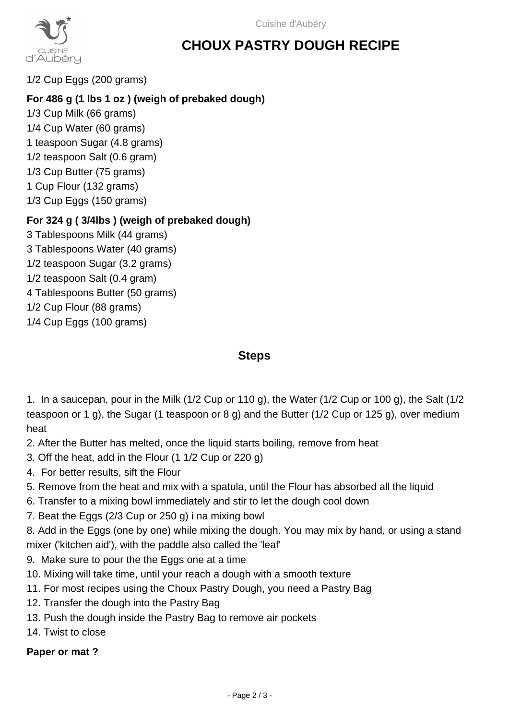

# **CHOUX PASTRY DOUGH RECIPE**

1/2 Cup Eggs (200 grams)

## **For 486 g (1 lbs 1 oz ) (weigh of prebaked dough)**

1/3 Cup Milk (66 grams) 1/4 Cup Water (60 grams) 1 teaspoon Sugar (4.8 grams) 1/2 teaspoon Salt (0.6 gram) 1/3 Cup Butter (75 grams) 1 Cup Flour (132 grams) 1/3 Cup Eggs (150 grams)

### **For 324 g ( 3/4lbs ) (weigh of prebaked dough)**

3 Tablespoons Milk (44 grams) 3 Tablespoons Water (40 grams) 1/2 teaspoon Sugar (3.2 grams) 1/2 teaspoon Salt (0.4 gram) 4 Tablespoons Butter (50 grams) 1/2 Cup Flour (88 grams) 1/4 Cup Eggs (100 grams)

### **Steps**

1. In a saucepan, pour in the Milk (1/2 Cup or 110 g), the Water (1/2 Cup or 100 g), the Salt (1/2 teaspoon or 1 g), the Sugar (1 teaspoon or 8 g) and the Butter (1/2 Cup or 125 g), over medium heat

- 2. After the Butter has melted, once the liquid starts boiling, remove from heat
- 3. Off the heat, add in the Flour (1 1/2 Cup or 220 g)
- 4. For better results, sift the Flour
- 5. Remove from the heat and mix with a spatula, until the Flour has absorbed all the liquid
- 6. Transfer to a mixing bowl immediately and stir to let the dough cool down
- 7. Beat the Eggs (2/3 Cup or 250 g) i na mixing bowl

8. Add in the Eggs (one by one) while mixing the dough. You may mix by hand, or using a stand mixer ('kitchen aid'), with the paddle also called the 'leaf'

- 9. Make sure to pour the the Eggs one at a time
- 10. Mixing will take time, until your reach a dough with a smooth texture
- 11. For most recipes using the Choux Pastry Dough, you need a Pastry Bag
- 12. Transfer the dough into the Pastry Bag
- 13. Push the dough inside the Pastry Bag to remove air pockets
- 14. Twist to close

#### **Paper or mat ?**